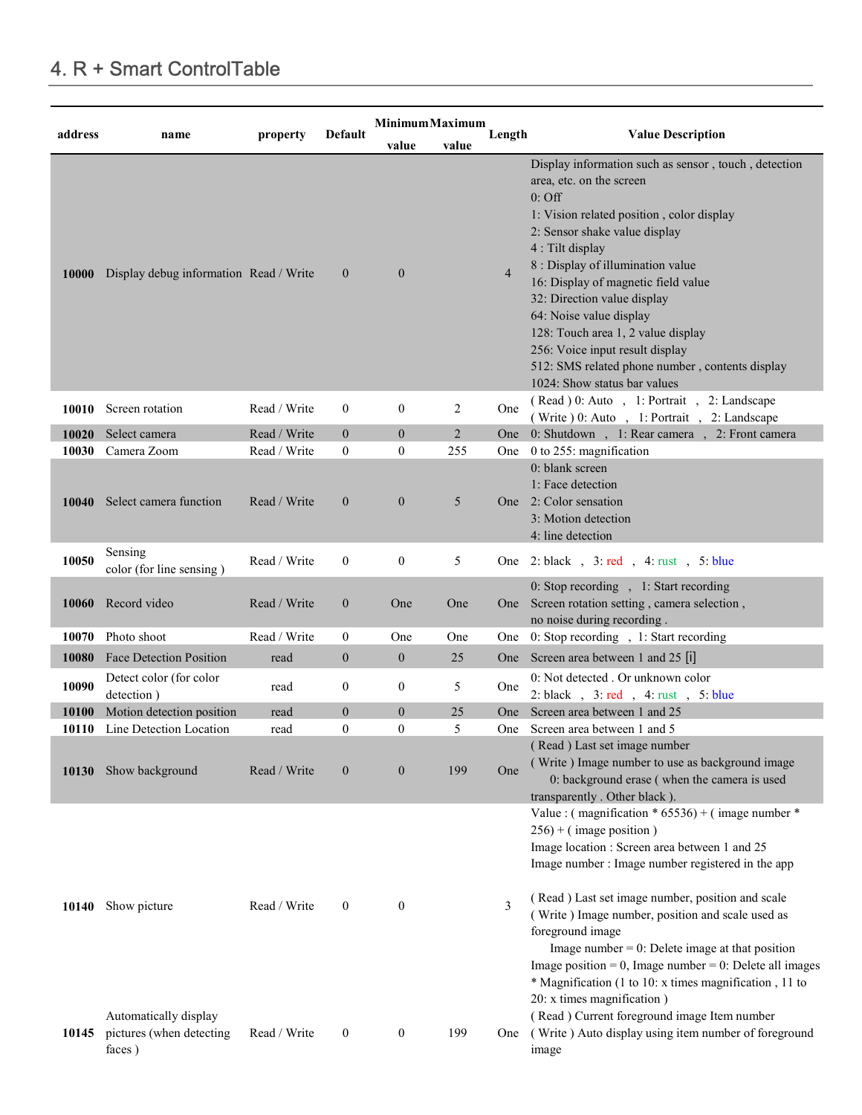## 4. R + Smart ControlTable

| address | name                                   | property     | Default          | <b>Minimum Maximum</b> |                | Length         | <b>Value Description</b>                                                                                                                                                                                                                                                                                                                                                                                                                                                                                                                                                     |
|---------|----------------------------------------|--------------|------------------|------------------------|----------------|----------------|------------------------------------------------------------------------------------------------------------------------------------------------------------------------------------------------------------------------------------------------------------------------------------------------------------------------------------------------------------------------------------------------------------------------------------------------------------------------------------------------------------------------------------------------------------------------------|
|         |                                        |              |                  | value                  | value          |                |                                                                                                                                                                                                                                                                                                                                                                                                                                                                                                                                                                              |
| 10000   | Display debug information Read / Write |              | $\mathbf{0}$     | $\boldsymbol{0}$       |                | $\overline{4}$ | Display information such as sensor, touch, detection<br>area, etc. on the screen<br>$0:$ Off<br>1: Vision related position, color display<br>2: Sensor shake value display<br>4 : Tilt display<br>8 : Display of illumination value<br>16: Display of magnetic field value<br>32: Direction value display<br>64: Noise value display<br>128: Touch area 1, 2 value display<br>256: Voice input result display<br>512: SMS related phone number, contents display<br>1024: Show status bar values                                                                             |
| 10010   | Screen rotation                        | Read / Write | $\overline{0}$   | $\overline{0}$         | 2              | One            | (Read) 0: Auto, 1: Portrait, 2: Landscape<br>(Write ) 0: Auto, 1: Portrait, 2: Landscape                                                                                                                                                                                                                                                                                                                                                                                                                                                                                     |
| 10020   | Select camera                          | Read / Write | $\theta$         | $\boldsymbol{0}$       | $\overline{2}$ | One            | 0: Shutdown, 1: Rear camera, 2: Front camera                                                                                                                                                                                                                                                                                                                                                                                                                                                                                                                                 |
| 10030   | Camera Zoom                            | Read / Write | $\theta$         | $\boldsymbol{0}$       | 255            | One            | 0 to 255: magnification                                                                                                                                                                                                                                                                                                                                                                                                                                                                                                                                                      |
| 10040   | Select camera function                 | Read / Write | $\theta$         | $\boldsymbol{0}$       | 5              | One            | 0: blank screen<br>1: Face detection<br>2: Color sensation<br>3: Motion detection<br>4: line detection                                                                                                                                                                                                                                                                                                                                                                                                                                                                       |
| 10050   | Sensing<br>color (for line sensing)    | Read / Write | $\overline{0}$   | $\theta$               | 5              |                | One 2: black, 3: red, 4: rust, 5: blue                                                                                                                                                                                                                                                                                                                                                                                                                                                                                                                                       |
| 10060   | Record video                           | Read / Write | $\boldsymbol{0}$ | One                    | One            | One            | 0: Stop recording , 1: Start recording<br>Screen rotation setting, camera selection,<br>no noise during recording.                                                                                                                                                                                                                                                                                                                                                                                                                                                           |
| 10070   | Photo shoot                            | Read / Write | $\boldsymbol{0}$ | One                    | One            | One            | 0: Stop recording , 1: Start recording                                                                                                                                                                                                                                                                                                                                                                                                                                                                                                                                       |
| 10080   | <b>Face Detection Position</b>         | read         | $\boldsymbol{0}$ | $\mathbf{0}$           | 25             | One            | Screen area between 1 and 25 [i]                                                                                                                                                                                                                                                                                                                                                                                                                                                                                                                                             |
| 10090   | Detect color (for color<br>detection)  | read         | $\boldsymbol{0}$ | $\boldsymbol{0}$       | 5              | One            | 0: Not detected . Or unknown color<br>2: black , $3:$ red , $4:$ rust , $5:$ blue                                                                                                                                                                                                                                                                                                                                                                                                                                                                                            |
| 10100   | Motion detection position              | read         | $\overline{0}$   | $\overline{0}$         | 25             | <b>One</b>     | Screen area between 1 and 25                                                                                                                                                                                                                                                                                                                                                                                                                                                                                                                                                 |
| 10110   | Line Detection Location                | read         | $\theta$         | 0                      | 5              | One            | Screen area between 1 and 5                                                                                                                                                                                                                                                                                                                                                                                                                                                                                                                                                  |
|         | 10130 Show background                  | Read / Write | $\boldsymbol{0}$ | $\boldsymbol{0}$       | 199            | One            | (Read) Last set image number<br>(Write) Image number to use as background image<br>0: background erase (when the camera is used<br>transparently . Other black ).                                                                                                                                                                                                                                                                                                                                                                                                            |
| 10140   | Show picture<br>Automatically display  | Read / Write | $\boldsymbol{0}$ | $\boldsymbol{0}$       |                | 3              | Value: (magnification $*$ 65536) + (image number $*$<br>$256$ ) + (image position)<br>Image location : Screen area between 1 and 25<br>Image number : Image number registered in the app<br>(Read) Last set image number, position and scale<br>(Write) Image number, position and scale used as<br>foreground image<br>Image number = $0$ : Delete image at that position<br>Image position = 0, Image number = 0: Delete all images<br>* Magnification (1 to 10: x times magnification, 11 to<br>20: x times magnification)<br>(Read) Current foreground image Item number |
| 10145   | pictures (when detecting<br>faces)     | Read / Write | $\boldsymbol{0}$ | $\boldsymbol{0}$       | 199            | One            | (Write) Auto display using item number of foreground<br>image                                                                                                                                                                                                                                                                                                                                                                                                                                                                                                                |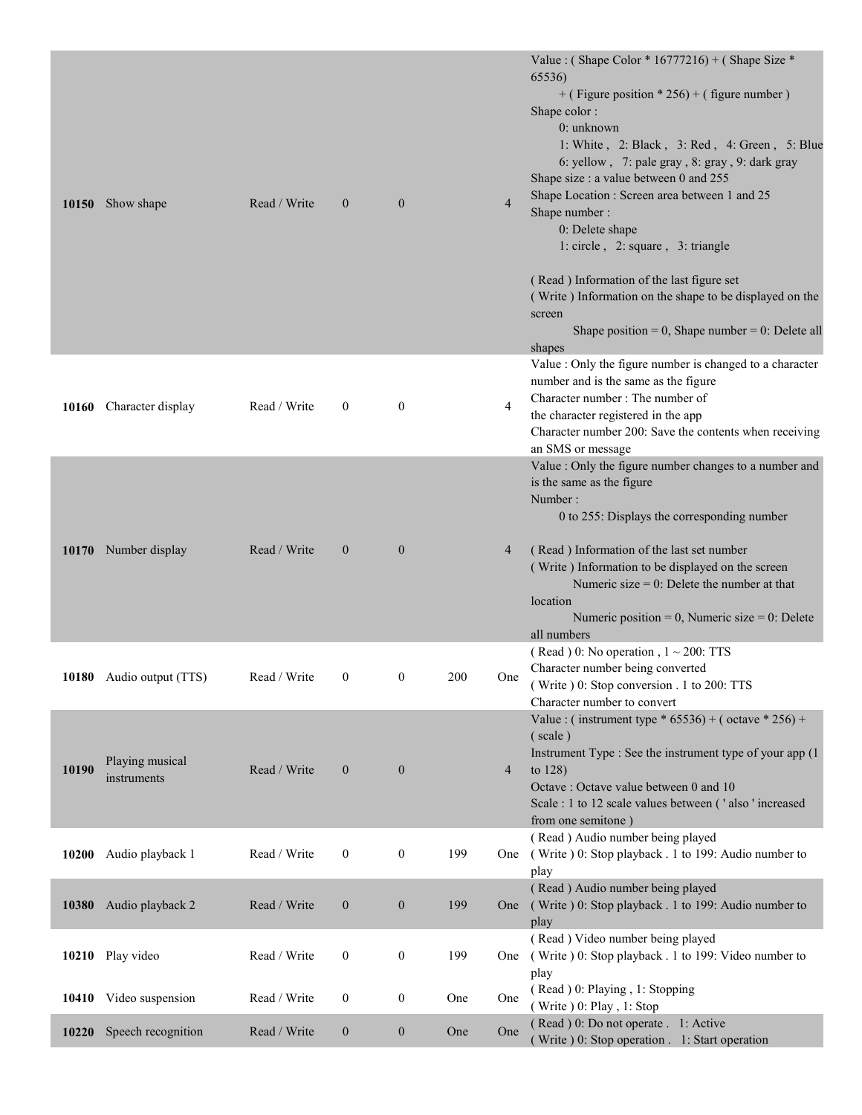| 10150 | Show shape                     | Read / Write | $\overline{0}$   | $\mathbf{0}$     |     | $\overline{4}$ | Value: (Shape Color * $16777216$ ) + (Shape Size *<br>65536)<br>+ (Figure position $*$ 256) + (figure number)<br>Shape color:<br>0: unknown<br>1: White, 2: Black, 3: Red, 4: Green, 5: Blue<br>6: yellow, 7: pale gray, 8: gray, 9: dark gray<br>Shape size : a value between 0 and 255<br>Shape Location: Screen area between 1 and 25<br>Shape number:<br>0: Delete shape<br>1: circle, 2: square, 3: triangle<br>(Read) Information of the last figure set<br>(Write) Information on the shape to be displayed on the<br>screen<br>Shape position = 0, Shape number = 0: Delete all<br>shapes |
|-------|--------------------------------|--------------|------------------|------------------|-----|----------------|---------------------------------------------------------------------------------------------------------------------------------------------------------------------------------------------------------------------------------------------------------------------------------------------------------------------------------------------------------------------------------------------------------------------------------------------------------------------------------------------------------------------------------------------------------------------------------------------------|
| 10160 | Character display              | Read / Write | $\mathbf{0}$     | $\bf{0}$         |     | 4              | Value : Only the figure number is changed to a character<br>number and is the same as the figure<br>Character number: The number of<br>the character registered in the app<br>Character number 200: Save the contents when receiving<br>an SMS or message                                                                                                                                                                                                                                                                                                                                         |
| 10170 | Number display                 | Read / Write | $\mathbf{0}$     | $\mathbf{0}$     |     | 4              | Value : Only the figure number changes to a number and<br>is the same as the figure<br>Number:<br>0 to 255: Displays the corresponding number<br>(Read) Information of the last set number<br>(Write) Information to be displayed on the screen<br>Numeric size $= 0$ : Delete the number at that<br>location<br>Numeric position = 0, Numeric size = 0: Delete<br>all numbers                                                                                                                                                                                                                    |
|       | 10180 Audio output (TTS)       | Read / Write | $\boldsymbol{0}$ | $\boldsymbol{0}$ | 200 | One            | (Read) 0: No operation, $1 \sim 200$ : TTS<br>Character number being converted<br>(Write) 0: Stop conversion . 1 to 200: TTS<br>Character number to convert                                                                                                                                                                                                                                                                                                                                                                                                                                       |
| 10190 | Playing musical<br>instruments | Read / Write | $\mathbf{0}$     | $\boldsymbol{0}$ |     | 4              | Value: (instrument type $*$ 65536) + (octave $*$ 256) +<br>(scale)<br>Instrument Type : See the instrument type of your app (1)<br>to $128$ )<br>Octave: Octave value between 0 and 10<br>Scale : 1 to 12 scale values between ('also' increased<br>from one semitone)                                                                                                                                                                                                                                                                                                                            |
| 10200 | Audio playback 1               | Read / Write | $\mathbf{0}$     | $\boldsymbol{0}$ | 199 | One            | (Read) Audio number being played<br>(Write ) 0: Stop playback . 1 to 199: Audio number to<br>play                                                                                                                                                                                                                                                                                                                                                                                                                                                                                                 |
| 10380 | Audio playback 2               | Read / Write | $\mathbf{0}$     | $\boldsymbol{0}$ | 199 | One            | (Read) Audio number being played<br>(Write ) 0: Stop playback . 1 to 199: Audio number to<br>play                                                                                                                                                                                                                                                                                                                                                                                                                                                                                                 |
| 10210 | Play video                     | Read / Write | $\boldsymbol{0}$ | $\boldsymbol{0}$ | 199 | One            | (Read) Video number being played<br>(Write ) 0: Stop playback . 1 to 199: Video number to<br>play                                                                                                                                                                                                                                                                                                                                                                                                                                                                                                 |
| 10410 | Video suspension               | Read / Write | $\boldsymbol{0}$ | $\mathbf{0}$     | One | One            | (Read) 0: Playing, 1: Stopping<br>(Write ) 0: Play, 1: Stop                                                                                                                                                                                                                                                                                                                                                                                                                                                                                                                                       |
| 10220 | Speech recognition             | Read / Write | $\mathbf{0}$     | $\boldsymbol{0}$ | One | One            | (Read) 0: Do not operate . 1: Active<br>(Write ) 0: Stop operation . 1: Start operation                                                                                                                                                                                                                                                                                                                                                                                                                                                                                                           |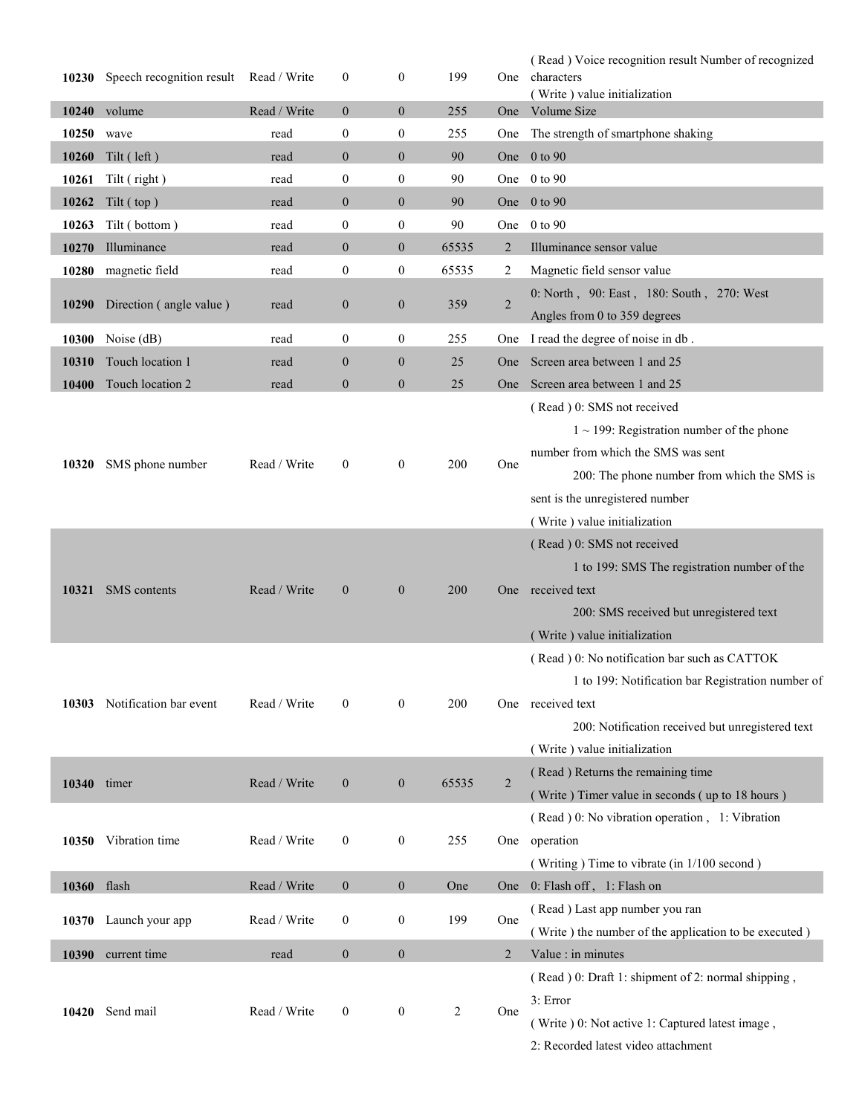|             | 10230 Speech recognition result Read / Write |              | $\boldsymbol{0}$ | $\mathbf{0}$     | 199   | One            | (Read) Voice recognition result Number of recognized<br>characters<br>(Write) value initialization |
|-------------|----------------------------------------------|--------------|------------------|------------------|-------|----------------|----------------------------------------------------------------------------------------------------|
|             | 10240 volume                                 | Read / Write | $\boldsymbol{0}$ | $\mathbf{0}$     | 255   |                | One Volume Size                                                                                    |
| 10250 wave  |                                              | read         | $\boldsymbol{0}$ | $\boldsymbol{0}$ | 255   | One            | The strength of smartphone shaking                                                                 |
| 10260       | Tilt (left)                                  | read         | $\boldsymbol{0}$ | $\mathbf{0}$     | 90    |                | One $0$ to 90                                                                                      |
| 10261       | Tilt (right)                                 | read         | $\boldsymbol{0}$ | $\mathbf{0}$     | 90    |                | One 0 to 90                                                                                        |
| 10262       | Tilt (top)                                   | read         | $\boldsymbol{0}$ | $\overline{0}$   | 90    |                | One $0$ to 90                                                                                      |
| 10263       | Tilt (bottom)                                | read         | $\boldsymbol{0}$ | $\boldsymbol{0}$ | 90    |                | One $0$ to 90                                                                                      |
| 10270       | Illuminance                                  | read         | $\mathbf{0}$     | $\mathbf{0}$     | 65535 | 2              | Illuminance sensor value                                                                           |
| 10280       | magnetic field                               | read         | $\boldsymbol{0}$ | $\boldsymbol{0}$ | 65535 | 2              | Magnetic field sensor value                                                                        |
|             | 10290 Direction (angle value)                | read         | $\boldsymbol{0}$ | $\mathbf{0}$     | 359   | $\overline{2}$ | 0: North, 90: East, 180: South, 270: West                                                          |
|             |                                              |              |                  |                  |       |                | Angles from 0 to 359 degrees                                                                       |
| 10300       | Noise (dB)                                   | read         | $\boldsymbol{0}$ | $\boldsymbol{0}$ | 255   |                | One I read the degree of noise in db.                                                              |
| 10310       | Touch location 1                             | read         | $\boldsymbol{0}$ | $\boldsymbol{0}$ | 25    |                | One Screen area between 1 and 25                                                                   |
| 10400       | Touch location 2                             | read         | $\boldsymbol{0}$ | $\mathbf{0}$     | 25    |                | One Screen area between 1 and 25                                                                   |
|             | SMS phone number                             | Read / Write | $\boldsymbol{0}$ |                  | 200   |                | (Read) 0: SMS not received                                                                         |
|             |                                              |              |                  |                  |       |                | $1 \sim 199$ : Registration number of the phone                                                    |
| 10320       |                                              |              |                  | $\mathbf{0}$     |       | One            | number from which the SMS was sent                                                                 |
|             |                                              |              |                  |                  |       |                | 200: The phone number from which the SMS is                                                        |
|             |                                              |              |                  |                  |       |                | sent is the unregistered number                                                                    |
|             |                                              |              |                  |                  |       |                | (Write) value initialization                                                                       |
| 10321       | <b>SMS</b> contents                          | Read / Write | $\mathbf{0}$     | $\mathbf{0}$     | 200   |                | (Read) 0: SMS not received                                                                         |
|             |                                              |              |                  |                  |       |                | 1 to 199: SMS The registration number of the                                                       |
|             |                                              |              |                  |                  |       |                | One received text                                                                                  |
|             |                                              |              |                  |                  |       |                | 200: SMS received but unregistered text                                                            |
|             |                                              |              |                  |                  |       |                | (Write) value initialization                                                                       |
|             | 10303 Notification bar event                 | Read / Write | $\boldsymbol{0}$ | $\overline{0}$   | 200   |                | (Read) 0: No notification bar such as CATTOK                                                       |
|             |                                              |              |                  |                  |       |                | 1 to 199: Notification bar Registration number of                                                  |
|             |                                              |              |                  |                  |       |                | One received text                                                                                  |
|             |                                              |              |                  |                  |       |                | 200: Notification received but unregistered text                                                   |
|             |                                              |              |                  |                  |       |                | (Write) value initialization                                                                       |
| 10340 timer |                                              | Read / Write | $\mathbf{0}$     | $\mathbf{0}$     | 65535 | 2              | (Read) Returns the remaining time                                                                  |
|             |                                              |              |                  |                  |       |                | (Write) Timer value in seconds (up to 18 hours)                                                    |
|             |                                              |              |                  |                  |       |                | (Read) 0: No vibration operation, 1: Vibration                                                     |
|             | 10350 Vibration time                         | Read / Write | $\boldsymbol{0}$ | $\boldsymbol{0}$ | 255   |                | One operation                                                                                      |
|             |                                              |              |                  |                  |       |                | (Writing) Time to vibrate (in 1/100 second)                                                        |
| 10360 flash |                                              | Read / Write | $\boldsymbol{0}$ | $\mathbf{0}$     | One   | One            | 0: Flash off, 1: Flash on                                                                          |
|             | 10370 Launch your app                        | Read / Write | $\boldsymbol{0}$ | $\boldsymbol{0}$ | 199   | One            | (Read) Last app number you ran                                                                     |
|             |                                              |              |                  |                  |       |                | (Write) the number of the application to be executed)                                              |
| 10390       | current time                                 | read         | $\boldsymbol{0}$ | $\mathbf{0}$     |       | $\overline{2}$ | Value : in minutes                                                                                 |
| 10420       | Send mail                                    | Read / Write | $\boldsymbol{0}$ | $\mathbf{0}$     | 2     |                | (Read) 0: Draft 1: shipment of 2: normal shipping,                                                 |
|             |                                              |              |                  |                  |       | One            | 3: Error                                                                                           |
|             |                                              |              |                  |                  |       |                | (Write ) 0: Not active 1: Captured latest image,                                                   |
|             |                                              |              |                  |                  |       |                | 2: Recorded latest video attachment                                                                |